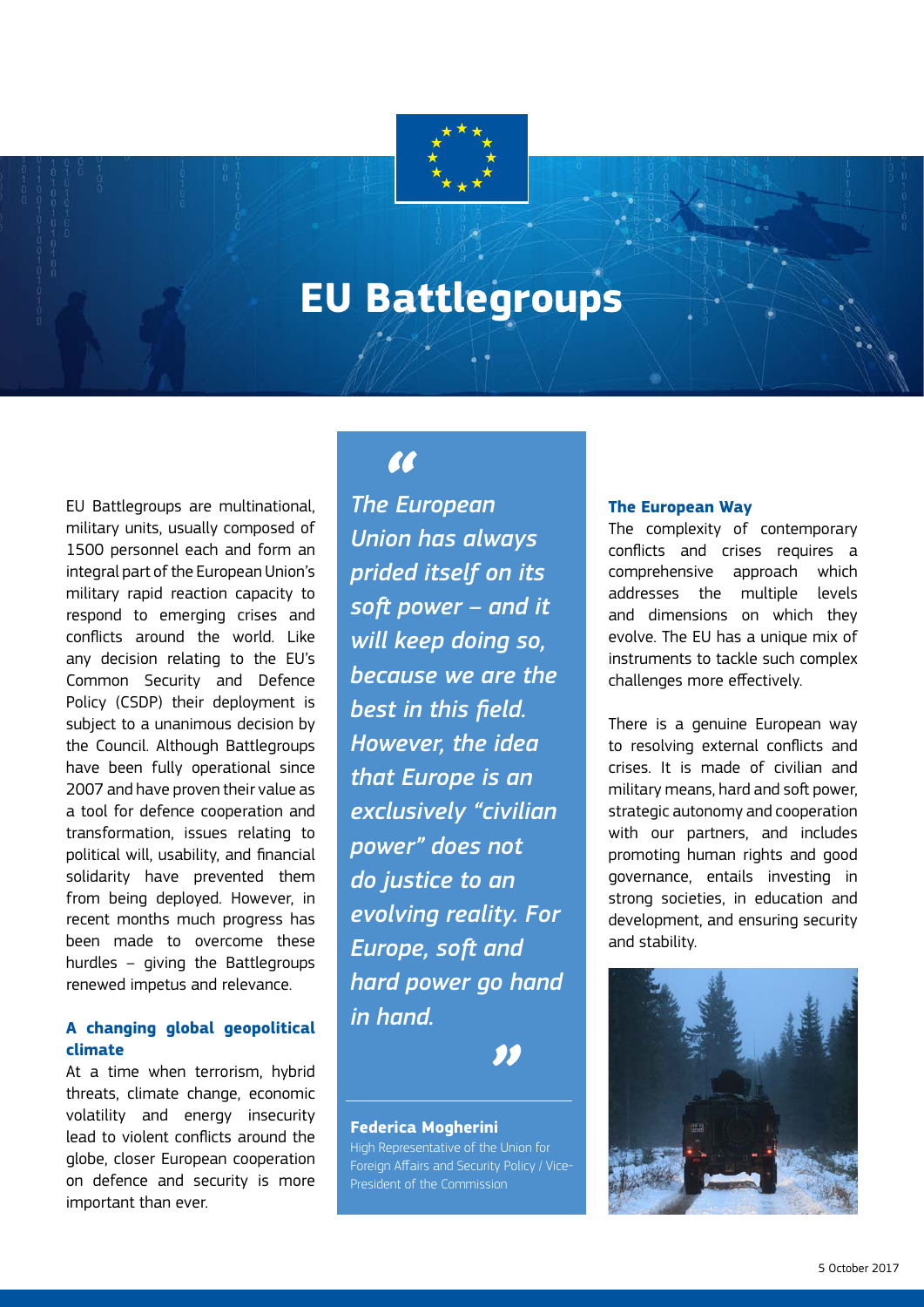# **EU Battlegroups**

EU Battlegroups are multinational, military units, usually composed of 1500 personnel each and form an integral part of the European Union's military rapid reaction capacity to respond to emerging crises and conflicts around the world. Like any decision relating to the EU's Common Security and Defence Policy (CSDP) their deployment is subject to a unanimous decision by the Council. Although Battlegroups have been fully operational since 2007 and have proven their value as a tool for defence cooperation and transformation, issues relating to political will, usability, and financial solidarity have prevented them from being deployed. However, in recent months much progress has been made to overcome these hurdles – giving the Battlegroups renewed impetus and relevance.

#### **A changing global geopolitical climate**

At a time when terrorism, hybrid threats, climate change, economic volatility and energy insecurity lead to violent conflicts around the globe, closer European cooperation on defence and security is more important than ever.

# **AA**

*The European Union has always prided itself on its soft power – and it will keep doing so, because we are the best in this field. However, the idea that Europe is an exclusively "civilian power" does not do justice to an evolving reality. For Europe, soft and hard power go hand in hand.*

#### **Federica Mogherini**

High Representative of the Union for Foreign Affairs and Security Policy / Vice-President of the Commission

#### **The European Way**

The complexity of contemporary conflicts and crises requires a comprehensive approach which addresses the multiple levels and dimensions on which they evolve. The EU has a unique mix of instruments to tackle such complex challenges more effectively.

There is a genuine European way to resolving external conflicts and crises. It is made of civilian and military means, hard and soft power, strategic autonomy and cooperation with our partners, and includes promoting human rights and good governance, entails investing in strong societies, in education and development, and ensuring security and stability.

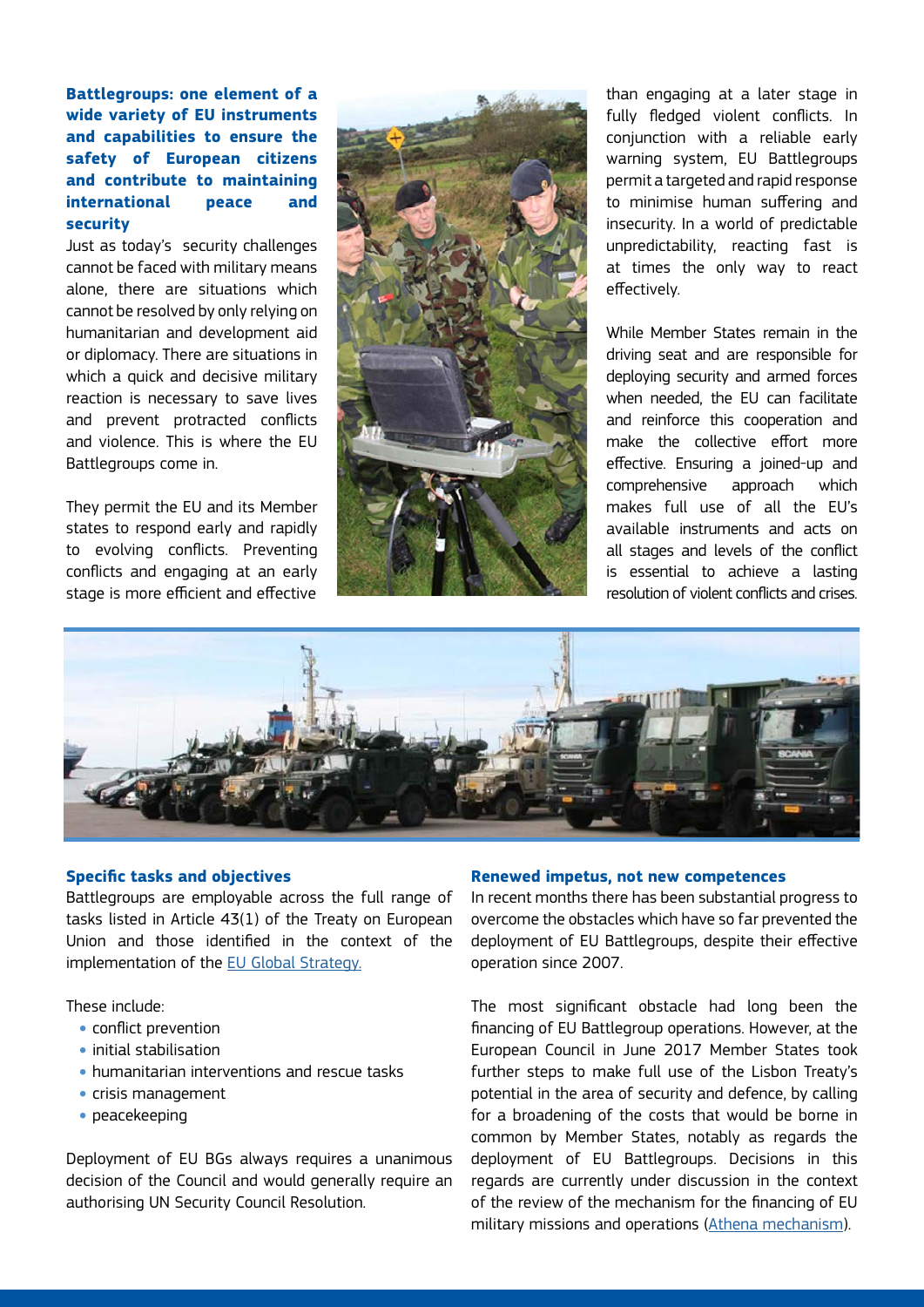**Battlegroups: one element of a wide variety of EU instruments and capabilities to ensure the safety of European citizens and contribute to maintaining international peace and security** 

Just as today's security challenges cannot be faced with military means alone, there are situations which cannot be resolved by only relying on humanitarian and development aid or diplomacy. There are situations in which a quick and decisive military reaction is necessary to save lives and prevent protracted conflicts and violence. This is where the EU Battlegroups come in.

They permit the EU and its Member states to respond early and rapidly to evolving conflicts. Preventing conflicts and engaging at an early stage is more efficient and effective



than engaging at a later stage in fully fledged violent conflicts. In conjunction with a reliable early warning system, EU Battlegroups permit a targeted and rapid response to minimise human suffering and insecurity. In a world of predictable unpredictability, reacting fast is at times the only way to react effectively.

While Member States remain in the driving seat and are responsible for deploying security and armed forces when needed, the EU can facilitate and reinforce this cooperation and make the collective effort more effective. Ensuring a joined-up and comprehensive approach which makes full use of all the EU's available instruments and acts on all stages and levels of the conflict is essential to achieve a lasting resolution of violent conflicts and crises.



#### **Specific tasks and objectives**

Battlegroups are employable across the full range of tasks listed in Article 43(1) of the Treaty on European Union and those identified in the context of the implementation of the [EU Global Strategy.](https://europa.eu/globalstrategy/en/global-strategy-foreign-and-security-policy-european-union)

These include:

- conflict prevention
- initial stabilisation
- humanitarian interventions and rescue tasks
- crisis management
- peacekeeping

Deployment of EU BGs always requires a unanimous decision of the Council and would generally require an authorising UN Security Council Resolution.

#### **Renewed impetus, not new competences**

In recent months there has been substantial progress to overcome the obstacles which have so far prevented the deployment of EU Battlegroups, despite their effective operation since 2007.

The most significant obstacle had long been the financing of EU Battlegroup operations. However, at the European Council in June 2017 Member States took further steps to make full use of the Lisbon Treaty's potential in the area of security and defence, by calling for a broadening of the costs that would be borne in common by Member States, notably as regards the deployment of EU Battlegroups. Decisions in this regards are currently under discussion in the context of the review of the mechanism for the financing of EU military missions and operations ([Athena mechanism](http://www.consilium.europa.eu/en/policies/athena/)).